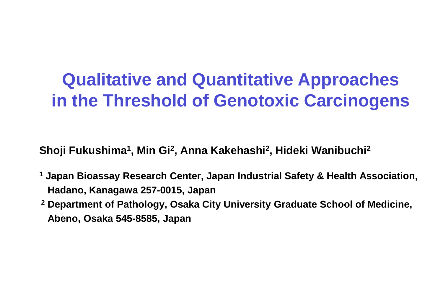### **Qualitative and Quantitative Approaches in the Threshold of Genotoxic Carcinogens**

**Shoji Fukushima1, Min Gi2, Anna Kakehashi2, Hideki Wanibuchi2**

- **<sup>1</sup> Japan Bioassay Research Center, Japan Industrial Safety & Health Association, Hadano, Kanagawa 257-0015, Japan**
- **<sup>2</sup> Department of Pathology, Osaka City University Graduate School of Medicine, Abeno, Osaka 545-8585, Japan**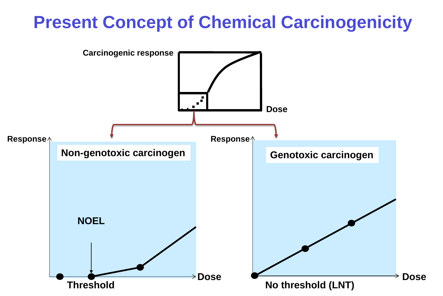### **Present Concept of Chemical Carcinogenicity**

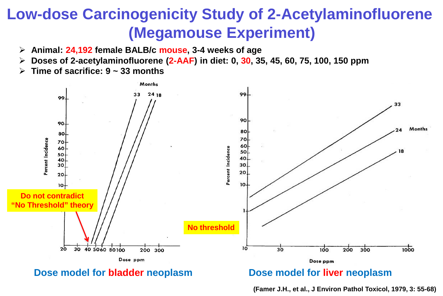### **Low-dose Carcinogenicity Study of 2-Acetylaminofluorene (Megamouse Experiment)**

- **Animal: 24,192 female BALB/c mouse, 3-4 weeks of age**
- **Doses of 2-acetylaminofluorene (2-AAF) in diet: 0, 30, 35, 45, 60, 75, 100, 150 ppm**
- **Time of sacrifice: 9 ~ 33 months**



#### **Dose model for bladder neoplasm bose model for liver neoplasm**

**(Famer J.H., et al., J Environ Pathol Toxicol, 1979, 3: 55-68)**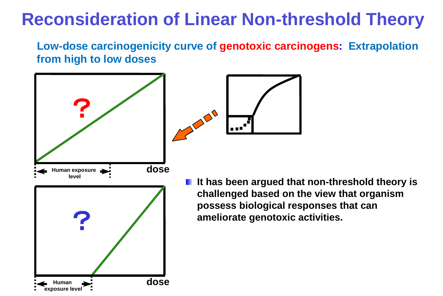### **Reconsideration of Linear Non-threshold Theory**

#### **Low-dose carcinogenicity curve of genotoxic carcinogens: Extrapolation from high to low doses**



**If It has been argued that non-threshold theory is challenged based on the view that organism possess biological responses that can ameliorate genotoxic activities.**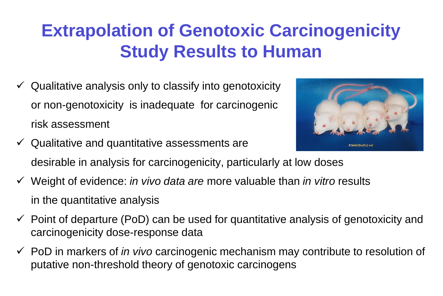## **Extrapolation of Genotoxic Carcinogenicity Study Results to Human**

- $\checkmark$  Qualitative analysis only to classify into genotoxicity or non-genotoxicity is inadequate for carcinogenic risk assessment
- $\checkmark$  Qualitative and quantitative assessments are desirable in analysis for carcinogenicity, particularly at low doses
- Weight of evidence: *in vivo data are* more valuable than *in vitro* results in the quantitative analysis
- $\checkmark$  Point of departure (PoD) can be used for quantitative analysis of genotoxicity and carcinogenicity dose-response data
- PoD in markers of *in vivo* carcinogenic mechanism may contribute to resolution of putative non-threshold theory of genotoxic carcinogens

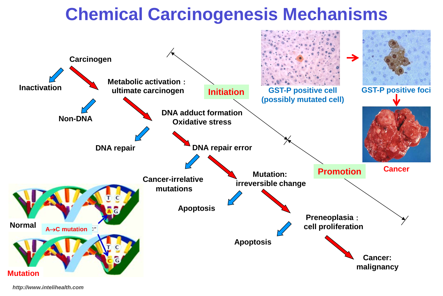### **Chemical Carcinogenesis Mechanisms**



*http://www.intelihealth.com*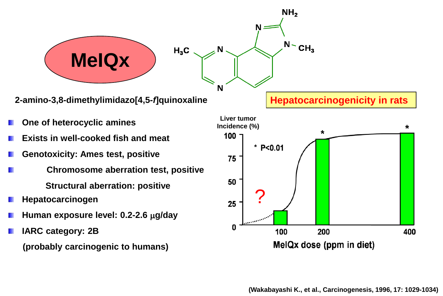

**2-amino-3,8-dimethylimidazo[4,5-***f***]quinoxaline**

- **One of heterocyclic amines**
- **Exists in well-cooked fish and meat**
- **Genotoxicity: Ames test, positive**
- **Chromosome aberration test, positive Structural aberration: positive**
- **Hepatocarcinogen**
- **Human exposure level: 0.2-2.6** µ**g/day**
- **IARC category: 2B (probably carcinogenic to humans)**

**Hepatocarcinogenicity in rats**

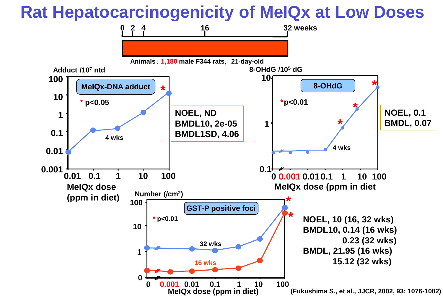### **Rat Hepatocarcinogenicity of MeIQx at Low Doses**

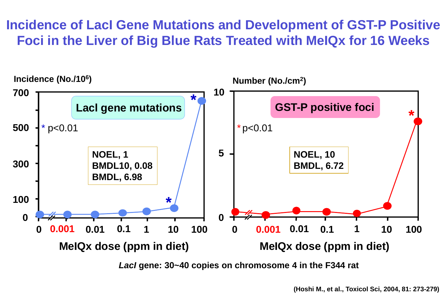### **Incidence of LacI Gene Mutations and Development of GST-P Positive Foci in the Liver of Big Blue Rats Treated with MeIQx for 16 Weeks**



*LacI* **gene: 30~40 copies on chromosome 4 in the F344 rat**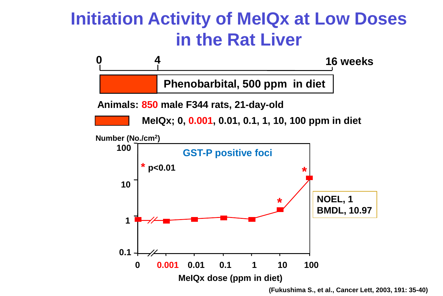### **Initiation Activity of MeIQx at Low Doses in the Rat Liver**



**(Fukushima S., et al., Cancer Lett, 2003, 191: 35-40)**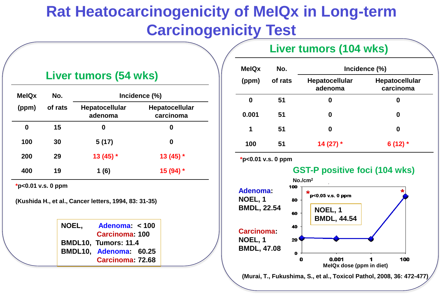### **Rat Heatocarcinogenicity of MeIQx in Long-term Carcinogenicity Test**

#### **Liver tumors (54 wks)**

| <b>MeIQx</b> | No.     | Incidence (%)                    |                                    |  |
|--------------|---------|----------------------------------|------------------------------------|--|
| (ppm)        | of rats | <b>Hepatocellular</b><br>adenoma | <b>Hepatocellular</b><br>carcinoma |  |
| 0            | 15      | 0                                | 0                                  |  |
| 100          | 30      | 5(17)                            | 0                                  |  |
| 200          | 29      | $13(45)$ *                       | $13(45)$ *                         |  |
| 400          | 19      | 1(6)                             | 15 (94) *                          |  |

**\*p<0.01 v.s. 0 ppm**

**(Kushida H., et al., Cancer letters, 1994, 83: 31-35)** 

**NOEL, Adenoma: < 100 Carcinoma: 100 BMDL10, Tumors: 11.4 BMDL10, Adenoma: 60.25 Carcinoma: 72.68**

#### **Liver tumors (104 wks)**

| <b>MeIQx</b> | No.     | Incidence (%)                    |                             |  |
|--------------|---------|----------------------------------|-----------------------------|--|
| (ppm)        | of rats | <b>Hepatocellular</b><br>adenoma | Hepatocellular<br>carcinoma |  |
| 0            | 51      | 0                                | 0                           |  |
| 0.001        | 51      | 0                                | 0                           |  |
| 1            | 51      | 0                                | 0                           |  |
| 100          | 51      | 14 (27) $*$                      | 6 (12) $*$                  |  |

**\*p<0.01 v.s. 0 ppm**





**(Murai, T., Fukushima, S., et al., Toxicol Pathol, 2008, 36: 472-477)**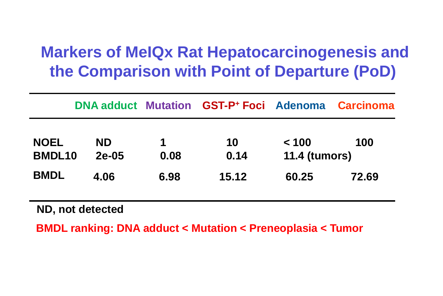### **Markers of MeIQx Rat Hepatocarcinogenesis and the Comparison with Point of Departure (PoD)**

|                              |                      |                     | <b>DNA adduct Mutation GST-P+ Foci Adenoma</b> |                               | <b>Carcinoma</b> |
|------------------------------|----------------------|---------------------|------------------------------------------------|-------------------------------|------------------|
| <b>NOEL</b><br><b>BMDL10</b> | <b>ND</b><br>$2e-05$ | $\mathbf 1$<br>0.08 | 10<br>0.14                                     | < 100<br><b>11.4 (tumors)</b> | 100              |
| <b>BMDL</b>                  | 4.06                 | 6.98                | 15.12                                          | 60.25                         | 72.69            |

**ND, not detected**

**BMDL ranking: DNA adduct < Mutation < Preneoplasia < Tumor**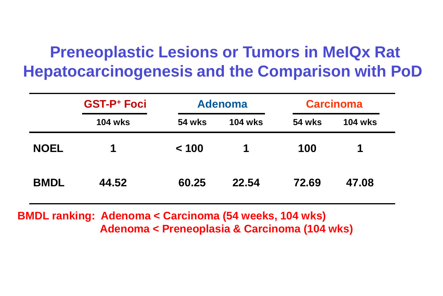### **Preneoplastic Lesions or Tumors in MeIQx Rat Hepatocarcinogenesis and the Comparison with PoD**

|             | <b>GST-P+ Foci</b> |               | <b>Adenoma</b> |               | <b>Carcinoma</b> |  |
|-------------|--------------------|---------------|----------------|---------------|------------------|--|
|             | <b>104 wks</b>     | <b>54 wks</b> | <b>104 wks</b> | <b>54 wks</b> | <b>104 wks</b>   |  |
| <b>NOEL</b> | 1                  | < 100         | 1              | 100           | 1                |  |
| <b>BMDL</b> | 44.52              | 60.25         | 22.54          | 72.69         | 47.08            |  |

**BMDL ranking: Adenoma < Carcinoma (54 weeks, 104 wks) Adenoma < Preneoplasia & Carcinoma (104 wks)**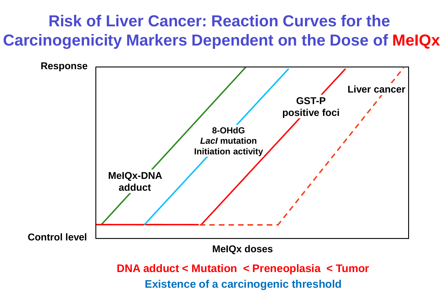### **Risk of Liver Cancer: Reaction Curves for the Carcinogenicity Markers Dependent on the Dose of MeIQx**

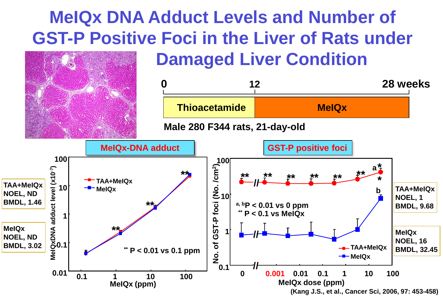### **MeIQx DNA Adduct Levels and Number of GST-P Positive Foci in the Liver of Rats under Damaged Liver Condition**

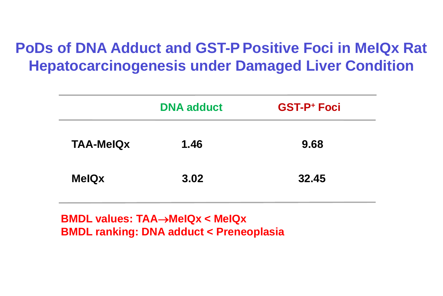### **PoDs of DNA Adduct and GST-P Positive Foci in MeIQx Rat Hepatocarcinogenesis under Damaged Liver Condition**

|                  | <b>DNA adduct</b> | <b>GST-P+ Foci</b> |
|------------------|-------------------|--------------------|
| <b>TAA-MelQx</b> | 1.46              | 9.68               |
| <b>MelQx</b>     | 3.02              | 32.45              |

**BMDL values: TAA**→**MeIQx < MeIQx BMDL ranking: DNA adduct < Preneoplasia**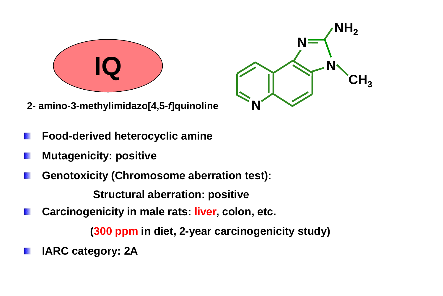

**2- amino-3-methylimidazo[4,5-***f***]quinoline N**



- **Food-derived heterocyclic amine**
- **Mutagenicity: positive** rui
- **Genotoxicity (Chromosome aberration test):**

**Structural aberration: positive**

**Carcinogenicity in male rats: liver, colon, etc.** BU.

 **(300 ppm in diet, 2-year carcinogenicity study)**

**IARC category: 2A**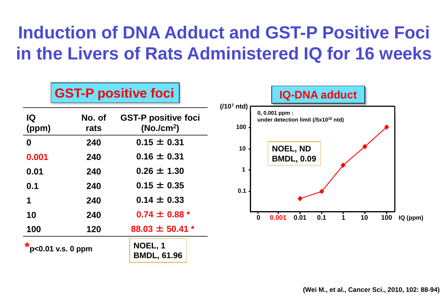## **Induction of DNA Adduct and GST-P Positive Foci in the Livers of Rats Administered IQ for 16 weeks**

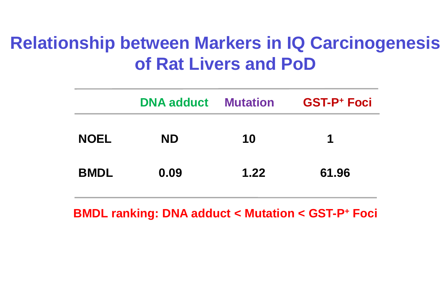### **Relationship between Markers in IQ Carcinogenesis of Rat Livers and PoD**

|             | <b>DNA adduct Mutation</b> |      | <b>GST-P+ Foci</b> |
|-------------|----------------------------|------|--------------------|
| <b>NOEL</b> | <b>ND</b>                  | 10   | 1                  |
| <b>BMDL</b> | 0.09                       | 1.22 | 61.96              |

**BMDL ranking: DNA adduct < Mutation < GST-P+ Foci**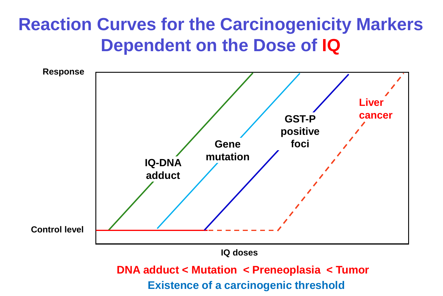### **Reaction Curves for the Carcinogenicity Markers Dependent on the Dose of IQ**

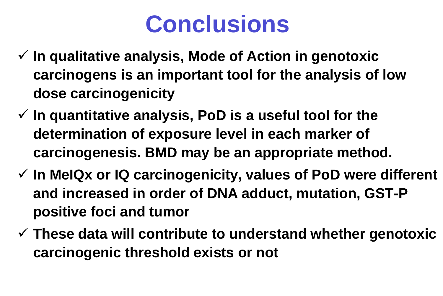# **Conclusions**

- **In qualitative analysis, Mode of Action in genotoxic carcinogens is an important tool for the analysis of low dose carcinogenicity**
- **In quantitative analysis, PoD is a useful tool for the determination of exposure level in each marker of carcinogenesis. BMD may be an appropriate method.**
- **In MeIQx or IQ carcinogenicity, values of PoD were different and increased in order of DNA adduct, mutation, GST-P positive foci and tumor**
- **These data will contribute to understand whether genotoxic carcinogenic threshold exists or not**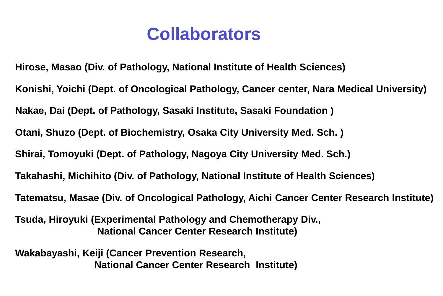### **Collaborators**

 **Wakabayashi, Keiji (Cancer Prevention Research, National Cancer Center Research Institute) Tsuda, Hiroyuki (Experimental Pathology and Chemotherapy Div., National Cancer Center Research Institute) Hirose, Masao (Div. of Pathology, National Institute of Health Sciences) Shirai, Tomoyuki (Dept. of Pathology, Nagoya City University Med. Sch.) Tatematsu, Masae (Div. of Oncological Pathology, Aichi Cancer Center Research Institute) Otani, Shuzo (Dept. of Biochemistry, Osaka City University Med. Sch. ) Konishi, Yoichi (Dept. of Oncological Pathology, Cancer center, Nara Medical University) Nakae, Dai (Dept. of Pathology, Sasaki Institute, Sasaki Foundation ) Takahashi, Michihito (Div. of Pathology, National Institute of Health Sciences)**